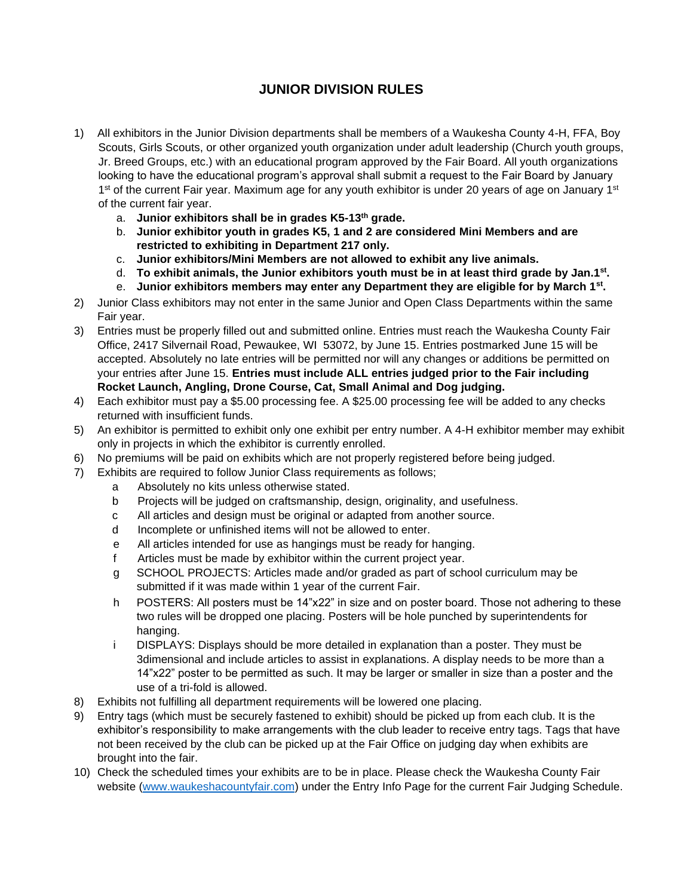## **JUNIOR DIVISION RULES**

- 1) All exhibitors in the Junior Division departments shall be members of a Waukesha County 4-H, FFA, Boy Scouts, Girls Scouts, or other organized youth organization under adult leadership (Church youth groups, Jr. Breed Groups, etc.) with an educational program approved by the Fair Board. All youth organizations looking to have the educational program's approval shall submit a request to the Fair Board by January 1<sup>st</sup> of the current Fair year. Maximum age for any youth exhibitor is under 20 years of age on January 1<sup>st</sup> of the current fair year.
	- a. **Junior exhibitors shall be in grades K5-13th grade.**
	- b. **Junior exhibitor youth in grades K5, 1 and 2 are considered Mini Members and are restricted to exhibiting in Department 217 only.**
	- c. **Junior exhibitors/Mini Members are not allowed to exhibit any live animals.**
	- d. **To exhibit animals, the Junior exhibitors youth must be in at least third grade by Jan.1st .**
	- e. **Junior exhibitors members may enter any Department they are eligible for by March 1st .**
- 2) Junior Class exhibitors may not enter in the same Junior and Open Class Departments within the same Fair year.
- 3) Entries must be properly filled out and submitted online. Entries must reach the Waukesha County Fair Office, 2417 Silvernail Road, Pewaukee, WI 53072, by June 15. Entries postmarked June 15 will be accepted. Absolutely no late entries will be permitted nor will any changes or additions be permitted on your entries after June 15. **Entries must include ALL entries judged prior to the Fair including Rocket Launch, Angling, Drone Course, Cat, Small Animal and Dog judging.**
- 4) Each exhibitor must pay a \$5.00 processing fee. A \$25.00 processing fee will be added to any checks returned with insufficient funds.
- 5) An exhibitor is permitted to exhibit only one exhibit per entry number. A 4-H exhibitor member may exhibit only in projects in which the exhibitor is currently enrolled.
- 6) No premiums will be paid on exhibits which are not properly registered before being judged.
- 7) Exhibits are required to follow Junior Class requirements as follows;
	- a Absolutely no kits unless otherwise stated.
	- b Projects will be judged on craftsmanship, design, originality, and usefulness.
	- c All articles and design must be original or adapted from another source.
	- d Incomplete or unfinished items will not be allowed to enter.
	- e All articles intended for use as hangings must be ready for hanging.
	- f Articles must be made by exhibitor within the current project year.
	- g SCHOOL PROJECTS: Articles made and/or graded as part of school curriculum may be submitted if it was made within 1 year of the current Fair.
	- h POSTERS: All posters must be 14"x22" in size and on poster board. Those not adhering to these two rules will be dropped one placing. Posters will be hole punched by superintendents for hanging.
	- i DISPLAYS: Displays should be more detailed in explanation than a poster. They must be 3dimensional and include articles to assist in explanations. A display needs to be more than a 14"x22" poster to be permitted as such. It may be larger or smaller in size than a poster and the use of a tri-fold is allowed.
- 8) Exhibits not fulfilling all department requirements will be lowered one placing.
- 9) Entry tags (which must be securely fastened to exhibit) should be picked up from each club. It is the exhibitor's responsibility to make arrangements with the club leader to receive entry tags. Tags that have not been received by the club can be picked up at the Fair Office on judging day when exhibits are brought into the fair.
- 10) Check the scheduled times your exhibits are to be in place. Please check the Waukesha County Fair website [\(www.waukeshacountyfair.com\)](http://www.waukeshacountyfair.com/) under the Entry Info Page for the current Fair Judging Schedule.